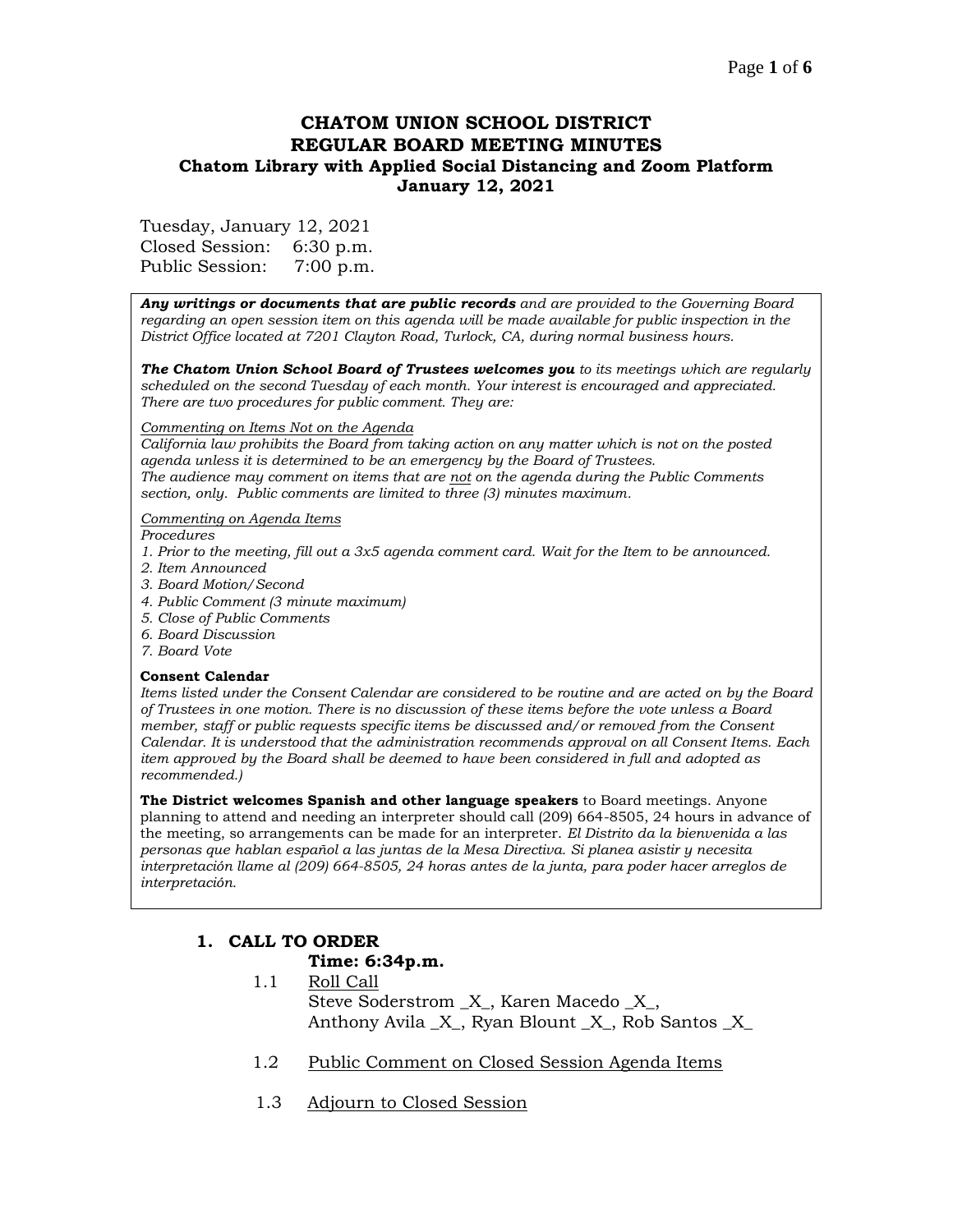# **CHATOM UNION SCHOOL DISTRICT REGULAR BOARD MEETING MINUTES Chatom Library with Applied Social Distancing and Zoom Platform January 12, 2021**

Tuesday, January 12, 2021

Closed Session: 6:30 p.m. Public Session: 7:00 p.m.

*Any writings or documents that are public records and are provided to the Governing Board regarding an open session item on this agenda will be made available for public inspection in the District Office located at 7201 Clayton Road, Turlock, CA, during normal business hours.*

*The Chatom Union School Board of Trustees welcomes you to its meetings which are regularly scheduled on the second Tuesday of each month. Your interest is encouraged and appreciated. There are two procedures for public comment. They are:*

#### *Commenting on Items Not on the Agenda*

*California law prohibits the Board from taking action on any matter which is not on the posted agenda unless it is determined to be an emergency by the Board of Trustees. The audience may comment on items that are not on the agenda during the Public Comments section, only. Public comments are limited to three (3) minutes maximum.*

### *Commenting on Agenda Items*

*Procedures* 

- *1. Prior to the meeting, fill out a 3x5 agenda comment card. Wait for the Item to be announced.*
- *2. Item Announced*
- *3. Board Motion/Second*
- *4. Public Comment (3 minute maximum)*
- *5. Close of Public Comments*
- *6. Board Discussion*
- *7. Board Vote*

### **Consent Calendar**

*Items listed under the Consent Calendar are considered to be routine and are acted on by the Board of Trustees in one motion. There is no discussion of these items before the vote unless a Board member, staff or public requests specific items be discussed and/or removed from the Consent Calendar. It is understood that the administration recommends approval on all Consent Items. Each item approved by the Board shall be deemed to have been considered in full and adopted as recommended.)*

**The District welcomes Spanish and other language speakers** to Board meetings. Anyone planning to attend and needing an interpreter should call (209) 664-8505, 24 hours in advance of the meeting, so arrangements can be made for an interpreter. *El Distrito da la bienvenida a las personas que hablan español a las juntas de la Mesa Directiva. Si planea asistir y necesita interpretación llame al (209) 664-8505, 24 horas antes de la junta, para poder hacer arreglos de interpretación.*

# **1. CALL TO ORDER Time: 6:34p.m.**

- 1.1 Roll Call Steve Soderstrom \_X\_, Karen Macedo \_X\_, Anthony Avila \_X\_, Ryan Blount \_X\_, Rob Santos \_X\_
- 1.2 Public Comment on Closed Session Agenda Items
- 1.3 Adjourn to Closed Session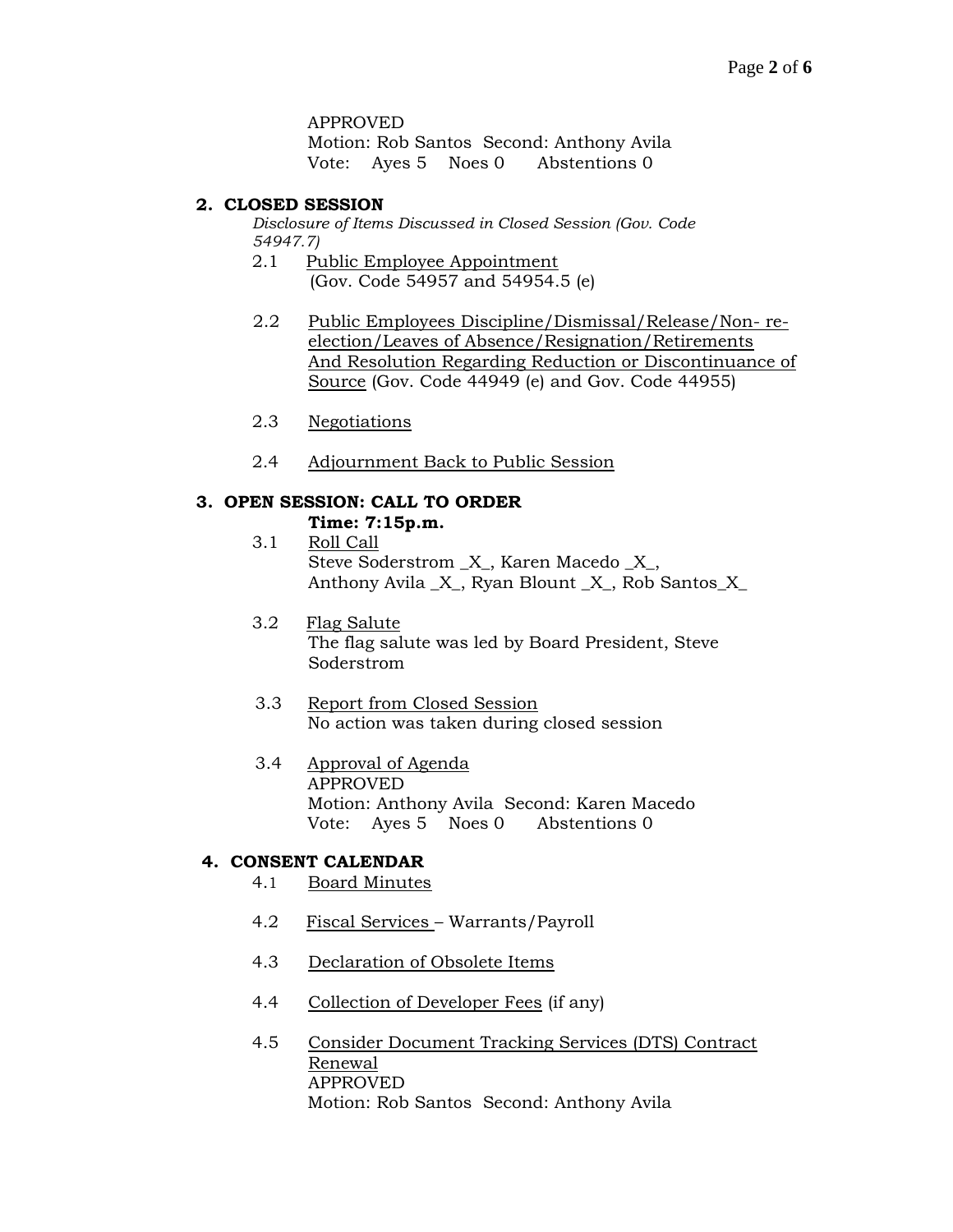#### APPROVED

Motion: Rob Santos Second: Anthony Avila Vote: Ayes 5 Noes 0 Abstentions 0

### **2. CLOSED SESSION**

*Disclosure of Items Discussed in Closed Session (Gov. Code 54947.7)*

- 2.1 Public Employee Appointment (Gov. Code 54957 and 54954.5 (e)
- 2.2 Public Employees Discipline/Dismissal/Release/Non- reelection/Leaves of Absence/Resignation/Retirements And Resolution Regarding Reduction or Discontinuance of Source (Gov. Code 44949 (e) and Gov. Code 44955)
- 2.3 Negotiations
- 2.4 Adjournment Back to Public Session

### **3. OPEN SESSION: CALL TO ORDER**

### **Time: 7:15p.m.**

3.1 Roll Call Steve Soderstrom \_X\_, Karen Macedo \_X\_, Anthony Avila \_X\_, Ryan Blount \_X\_, Rob Santos\_X\_

3.2 Flag Salute The flag salute was led by Board President, Steve Soderstrom

## 3.3 Report from Closed Session No action was taken during closed session

## 3.4 Approval of Agenda APPROVED Motion: Anthony Avila Second: Karen Macedo Vote: Ayes 5 Noes 0 Abstentions 0

### **4. CONSENT CALENDAR**

- 4.1 Board Minutes
- 4.2 Fiscal Services Warrants/Payroll
- 4.3 Declaration of Obsolete Items
- 4.4 Collection of Developer Fees (if any)
- 4.5 Consider Document Tracking Services (DTS) Contract Renewal APPROVED Motion: Rob Santos Second: Anthony Avila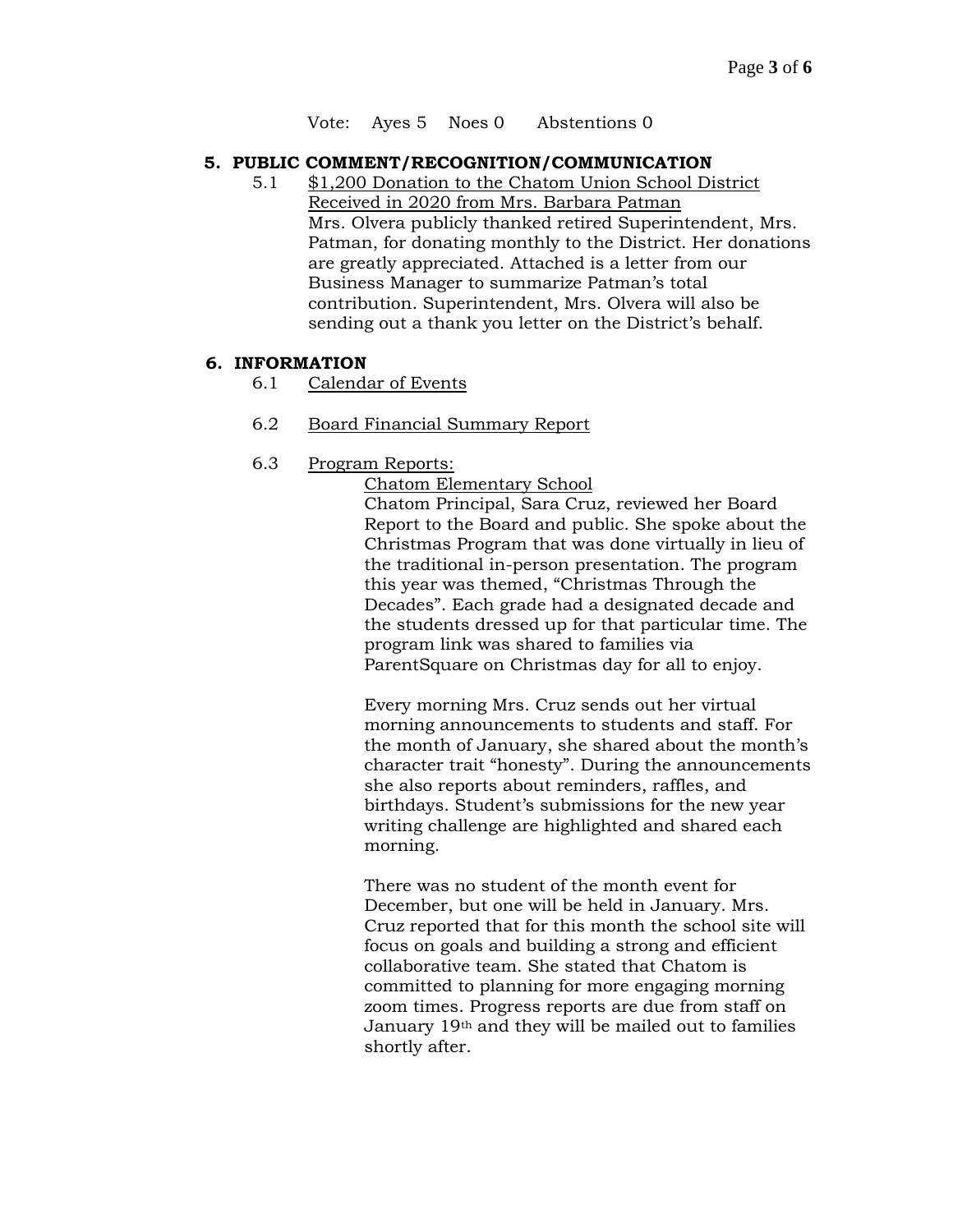Vote: Ayes 5 Noes 0 Abstentions 0

### **5. PUBLIC COMMENT/RECOGNITION/COMMUNICATION**

5.1 \$1,200 Donation to the Chatom Union School District Received in 2020 from Mrs. Barbara Patman Mrs. Olvera publicly thanked retired Superintendent, Mrs. Patman, for donating monthly to the District. Her donations are greatly appreciated. Attached is a letter from our Business Manager to summarize Patman's total contribution. Superintendent, Mrs. Olvera will also be sending out a thank you letter on the District's behalf.

## **6. INFORMATION**

- 6.1 Calendar of Events
- 6.2 Board Financial Summary Report
- 6.3 Program Reports:

Chatom Elementary School

Chatom Principal, Sara Cruz, reviewed her Board Report to the Board and public. She spoke about the Christmas Program that was done virtually in lieu of the traditional in-person presentation. The program this year was themed, "Christmas Through the Decades". Each grade had a designated decade and the students dressed up for that particular time. The program link was shared to families via ParentSquare on Christmas day for all to enjoy.

Every morning Mrs. Cruz sends out her virtual morning announcements to students and staff. For the month of January, she shared about the month's character trait "honesty". During the announcements she also reports about reminders, raffles, and birthdays. Student's submissions for the new year writing challenge are highlighted and shared each morning.

There was no student of the month event for December, but one will be held in January. Mrs. Cruz reported that for this month the school site will focus on goals and building a strong and efficient collaborative team. She stated that Chatom is committed to planning for more engaging morning zoom times. Progress reports are due from staff on January 19th and they will be mailed out to families shortly after.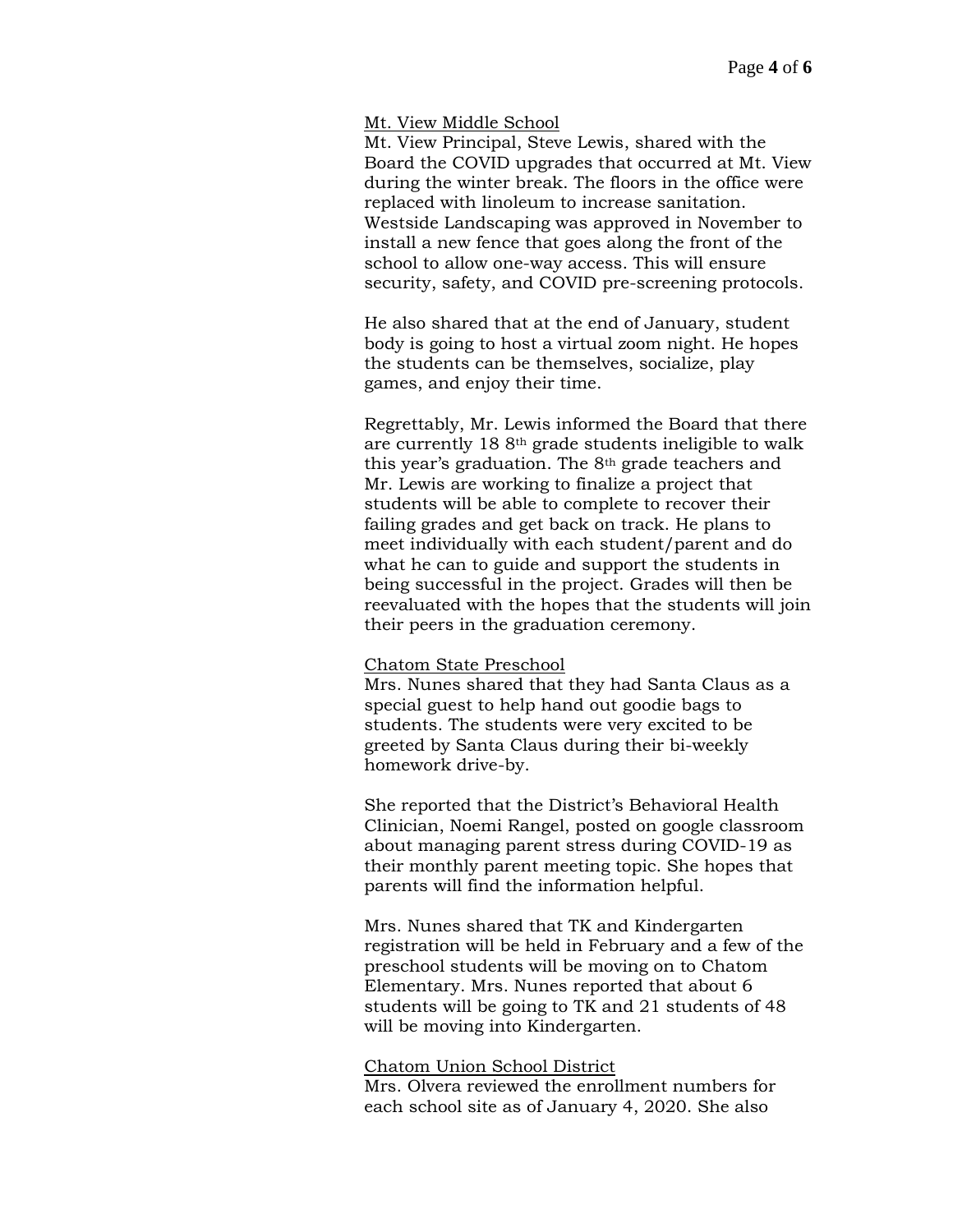#### Mt. View Middle School

Mt. View Principal, Steve Lewis, shared with the Board the COVID upgrades that occurred at Mt. View during the winter break. The floors in the office were replaced with linoleum to increase sanitation. Westside Landscaping was approved in November to install a new fence that goes along the front of the school to allow one-way access. This will ensure security, safety, and COVID pre-screening protocols.

He also shared that at the end of January, student body is going to host a virtual zoom night. He hopes the students can be themselves, socialize, play games, and enjoy their time.

Regrettably, Mr. Lewis informed the Board that there are currently 18 8th grade students ineligible to walk this year's graduation. The 8th grade teachers and Mr. Lewis are working to finalize a project that students will be able to complete to recover their failing grades and get back on track. He plans to meet individually with each student/parent and do what he can to guide and support the students in being successful in the project. Grades will then be reevaluated with the hopes that the students will join their peers in the graduation ceremony.

### Chatom State Preschool

Mrs. Nunes shared that they had Santa Claus as a special guest to help hand out goodie bags to students. The students were very excited to be greeted by Santa Claus during their bi-weekly homework drive-by.

She reported that the District's Behavioral Health Clinician, Noemi Rangel, posted on google classroom about managing parent stress during COVID-19 as their monthly parent meeting topic. She hopes that parents will find the information helpful.

Mrs. Nunes shared that TK and Kindergarten registration will be held in February and a few of the preschool students will be moving on to Chatom Elementary. Mrs. Nunes reported that about 6 students will be going to TK and 21 students of 48 will be moving into Kindergarten.

#### Chatom Union School District

Mrs. Olvera reviewed the enrollment numbers for each school site as of January 4, 2020. She also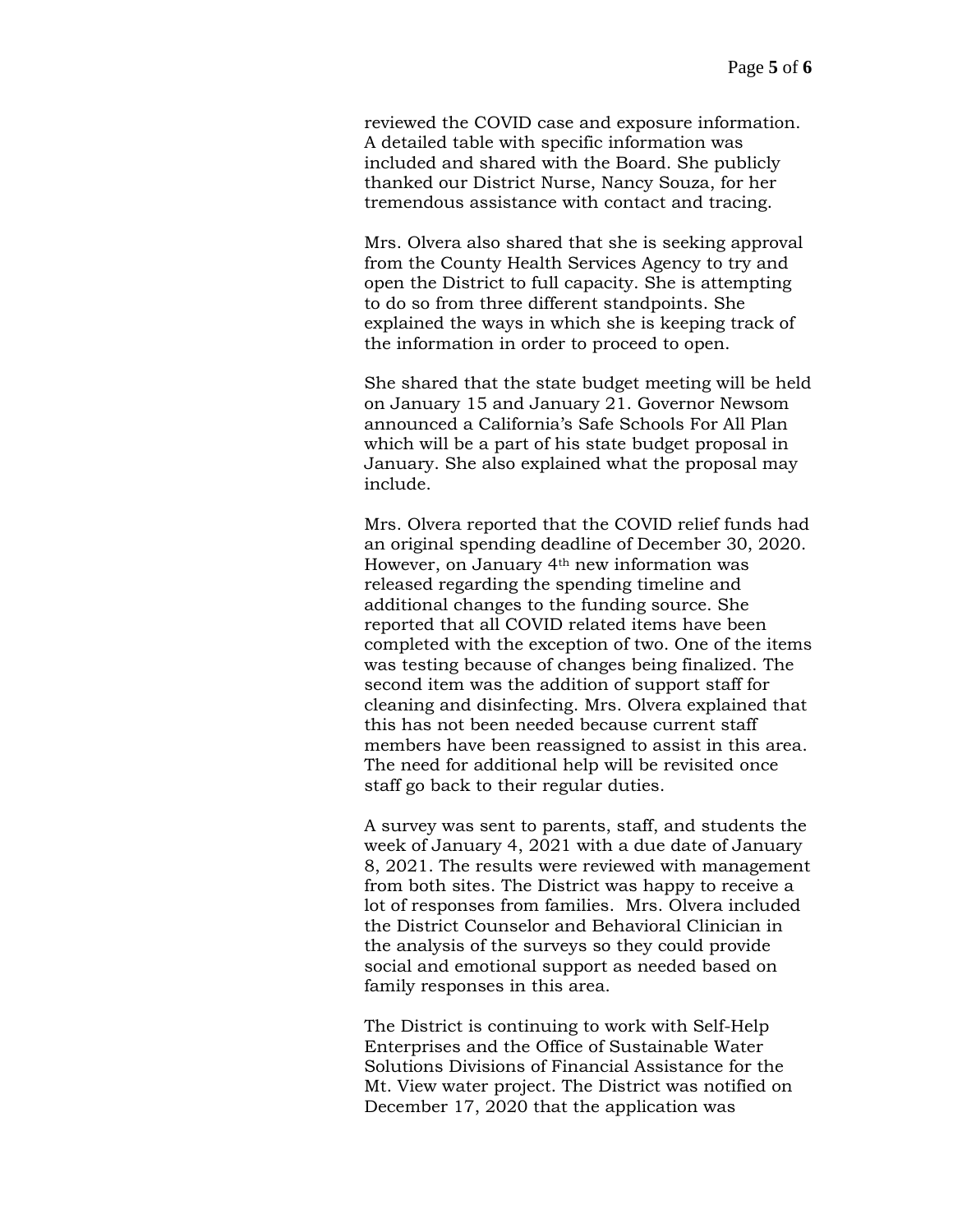reviewed the COVID case and exposure information. A detailed table with specific information was included and shared with the Board. She publicly thanked our District Nurse, Nancy Souza, for her tremendous assistance with contact and tracing.

Mrs. Olvera also shared that she is seeking approval from the County Health Services Agency to try and open the District to full capacity. She is attempting to do so from three different standpoints. She explained the ways in which she is keeping track of the information in order to proceed to open.

She shared that the state budget meeting will be held on January 15 and January 21. Governor Newsom announced a California's Safe Schools For All Plan which will be a part of his state budget proposal in January. She also explained what the proposal may include.

Mrs. Olvera reported that the COVID relief funds had an original spending deadline of December 30, 2020. However, on January 4th new information was released regarding the spending timeline and additional changes to the funding source. She reported that all COVID related items have been completed with the exception of two. One of the items was testing because of changes being finalized. The second item was the addition of support staff for cleaning and disinfecting. Mrs. Olvera explained that this has not been needed because current staff members have been reassigned to assist in this area. The need for additional help will be revisited once staff go back to their regular duties.

A survey was sent to parents, staff, and students the week of January 4, 2021 with a due date of January 8, 2021. The results were reviewed with management from both sites. The District was happy to receive a lot of responses from families. Mrs. Olvera included the District Counselor and Behavioral Clinician in the analysis of the surveys so they could provide social and emotional support as needed based on family responses in this area.

The District is continuing to work with Self-Help Enterprises and the Office of Sustainable Water Solutions Divisions of Financial Assistance for the Mt. View water project. The District was notified on December 17, 2020 that the application was